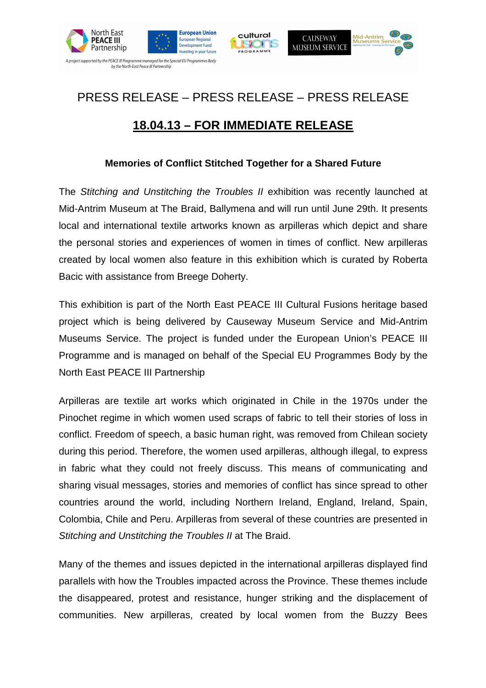



## PRESS RELEASE – PRESS RELEASE – PRESS RELEASE

ROGRAMM

## **18.04.13 – FOR IMMEDIATE RELEASE**

## **Memories of Conflict Stitched Together for a Shared Future**

The Stitching and Unstitching the Troubles II exhibition was recently launched at Mid-Antrim Museum at The Braid, Ballymena and will run until June 29th. It presents local and international textile artworks known as arpilleras which depict and share the personal stories and experiences of women in times of conflict. New arpilleras created by local women also feature in this exhibition which is curated by Roberta Bacic with assistance from Breege Doherty.

This exhibition is part of the North East PEACE III Cultural Fusions heritage based project which is being delivered by Causeway Museum Service and Mid-Antrim Museums Service. The project is funded under the European Union's PEACE III Programme and is managed on behalf of the Special EU Programmes Body by the North East PEACE III Partnership

Arpilleras are textile art works which originated in Chile in the 1970s under the Pinochet regime in which women used scraps of fabric to tell their stories of loss in conflict. Freedom of speech, a basic human right, was removed from Chilean society during this period. Therefore, the women used arpilleras, although illegal, to express in fabric what they could not freely discuss. This means of communicating and sharing visual messages, stories and memories of conflict has since spread to other countries around the world, including Northern Ireland, England, Ireland, Spain, Colombia, Chile and Peru. Arpilleras from several of these countries are presented in Stitching and Unstitching the Troubles II at The Braid.

Many of the themes and issues depicted in the international arpilleras displayed find parallels with how the Troubles impacted across the Province. These themes include the disappeared, protest and resistance, hunger striking and the displacement of communities. New arpilleras, created by local women from the Buzzy Bees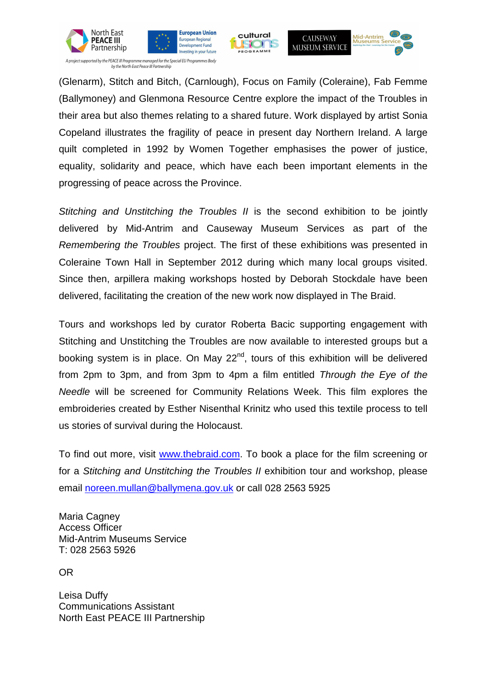



A project supported by the PEACE III Programme managed for the Special EU Programmes Body by the North East Peace III Partnership

(Glenarm), Stitch and Bitch, (Carnlough), Focus on Family (Coleraine), Fab Femme (Ballymoney) and Glenmona Resource Centre explore the impact of the Troubles in their area but also themes relating to a shared future. Work displayed by artist Sonia Copeland illustrates the fragility of peace in present day Northern Ireland. A large quilt completed in 1992 by Women Together emphasises the power of justice, equality, solidarity and peace, which have each been important elements in the progressing of peace across the Province.

cultural

PROGRAMM

**ISIONS** 

Mid-Antrim

**CAUSEWAY** 

**MUSEUM SERVICE** 

Stitching and Unstitching the Troubles II is the second exhibition to be jointly delivered by Mid-Antrim and Causeway Museum Services as part of the Remembering the Troubles project. The first of these exhibitions was presented in Coleraine Town Hall in September 2012 during which many local groups visited. Since then, arpillera making workshops hosted by Deborah Stockdale have been delivered, facilitating the creation of the new work now displayed in The Braid.

Tours and workshops led by curator Roberta Bacic supporting engagement with Stitching and Unstitching the Troubles are now available to interested groups but a booking system is in place. On May  $22<sup>nd</sup>$ , tours of this exhibition will be delivered from 2pm to 3pm, and from 3pm to 4pm a film entitled Through the Eye of the Needle will be screened for Community Relations Week. This film explores the embroideries created by Esther Nisenthal Krinitz who used this textile process to tell us stories of survival during the Holocaust.

To find out more, visit www.thebraid.com. To book a place for the film screening or for a Stitching and Unstitching the Troubles II exhibition tour and workshop, please email noreen.mullan@ballymena.gov.uk or call 028 2563 5925

Maria Cagney Access Officer Mid-Antrim Museums Service T: 028 2563 5926

OR

Leisa Duffy Communications Assistant North East PEACE III Partnership